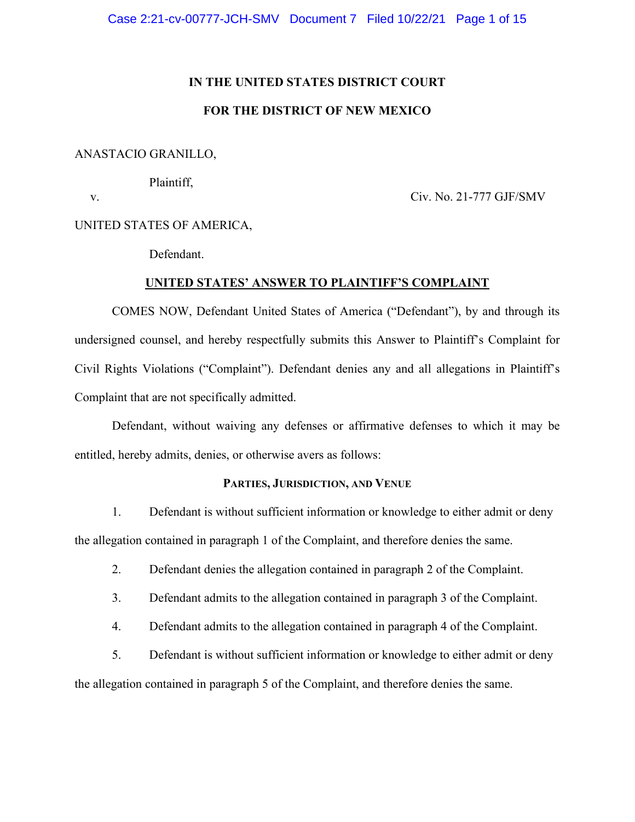### **IN THE UNITED STATES DISTRICT COURT**

# **FOR THE DISTRICT OF NEW MEXICO**

### ANASTACIO GRANILLO,

Plaintiff,

v. Civ. No. 21-777 GJF/SMV

UNITED STATES OF AMERICA,

Defendant.

### **UNITED STATES' ANSWER TO PLAINTIFF'S COMPLAINT**

COMES NOW, Defendant United States of America ("Defendant"), by and through its undersigned counsel, and hereby respectfully submits this Answer to Plaintiff's Complaint for Civil Rights Violations ("Complaint"). Defendant denies any and all allegations in Plaintiff's Complaint that are not specifically admitted.

Defendant, without waiving any defenses or affirmative defenses to which it may be entitled, hereby admits, denies, or otherwise avers as follows:

### **PARTIES, JURISDICTION, AND VENUE**

1. Defendant is without sufficient information or knowledge to either admit or deny the allegation contained in paragraph 1 of the Complaint, and therefore denies the same.

- 2. Defendant denies the allegation contained in paragraph 2 of the Complaint.
- 3. Defendant admits to the allegation contained in paragraph 3 of the Complaint.
- 4. Defendant admits to the allegation contained in paragraph 4 of the Complaint.
- 5. Defendant is without sufficient information or knowledge to either admit or deny

the allegation contained in paragraph 5 of the Complaint, and therefore denies the same.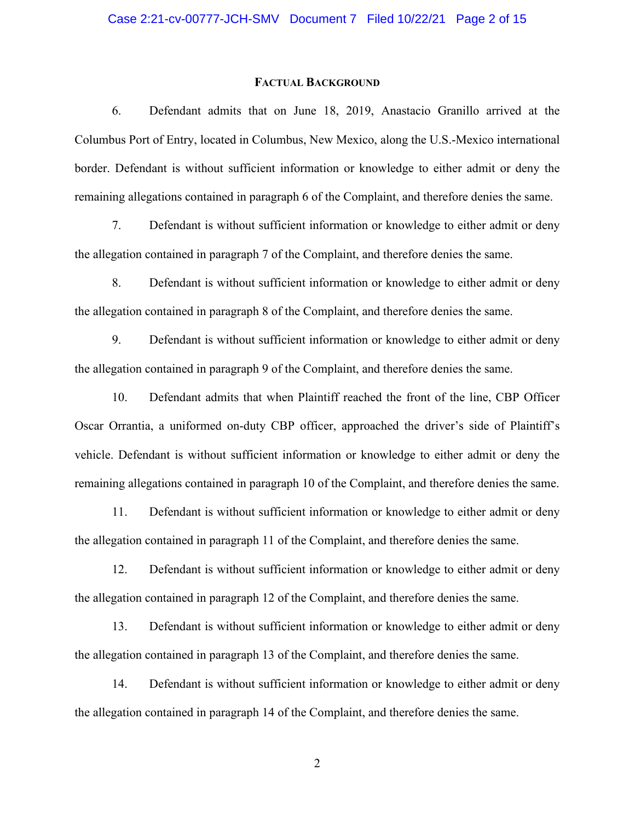#### **FACTUAL BACKGROUND**

6. Defendant admits that on June 18, 2019, Anastacio Granillo arrived at the Columbus Port of Entry, located in Columbus, New Mexico, along the U.S.-Mexico international border. Defendant is without sufficient information or knowledge to either admit or deny the remaining allegations contained in paragraph 6 of the Complaint, and therefore denies the same.

7. Defendant is without sufficient information or knowledge to either admit or deny the allegation contained in paragraph 7 of the Complaint, and therefore denies the same.

8. Defendant is without sufficient information or knowledge to either admit or deny the allegation contained in paragraph 8 of the Complaint, and therefore denies the same.

9. Defendant is without sufficient information or knowledge to either admit or deny the allegation contained in paragraph 9 of the Complaint, and therefore denies the same.

10. Defendant admits that when Plaintiff reached the front of the line, CBP Officer Oscar Orrantia, a uniformed on-duty CBP officer, approached the driver's side of Plaintiff's vehicle. Defendant is without sufficient information or knowledge to either admit or deny the remaining allegations contained in paragraph 10 of the Complaint, and therefore denies the same.

11. Defendant is without sufficient information or knowledge to either admit or deny the allegation contained in paragraph 11 of the Complaint, and therefore denies the same.

12. Defendant is without sufficient information or knowledge to either admit or deny the allegation contained in paragraph 12 of the Complaint, and therefore denies the same.

13. Defendant is without sufficient information or knowledge to either admit or deny the allegation contained in paragraph 13 of the Complaint, and therefore denies the same.

14. Defendant is without sufficient information or knowledge to either admit or deny the allegation contained in paragraph 14 of the Complaint, and therefore denies the same.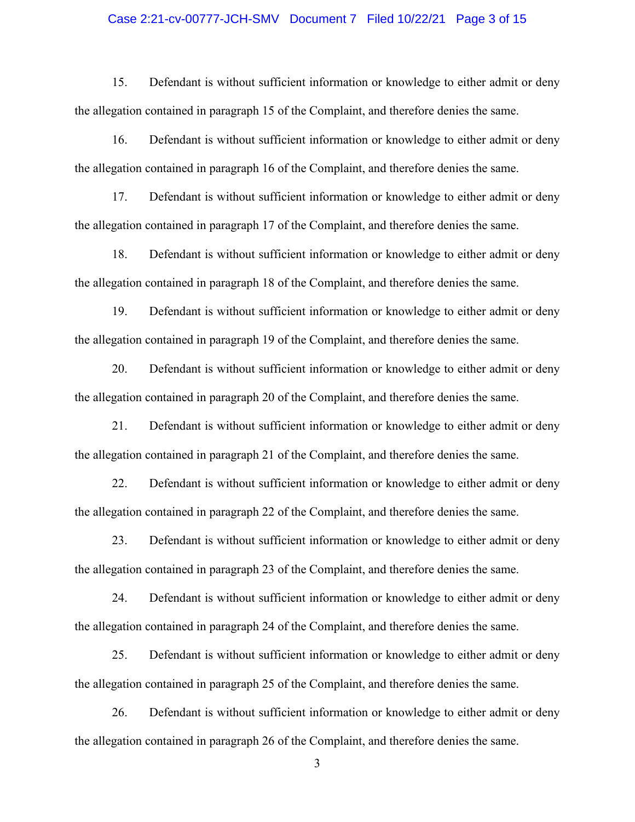### Case 2:21-cv-00777-JCH-SMV Document 7 Filed 10/22/21 Page 3 of 15

15. Defendant is without sufficient information or knowledge to either admit or deny the allegation contained in paragraph 15 of the Complaint, and therefore denies the same.

16. Defendant is without sufficient information or knowledge to either admit or deny the allegation contained in paragraph 16 of the Complaint, and therefore denies the same.

17. Defendant is without sufficient information or knowledge to either admit or deny the allegation contained in paragraph 17 of the Complaint, and therefore denies the same.

18. Defendant is without sufficient information or knowledge to either admit or deny the allegation contained in paragraph 18 of the Complaint, and therefore denies the same.

19. Defendant is without sufficient information or knowledge to either admit or deny the allegation contained in paragraph 19 of the Complaint, and therefore denies the same.

20. Defendant is without sufficient information or knowledge to either admit or deny the allegation contained in paragraph 20 of the Complaint, and therefore denies the same.

21. Defendant is without sufficient information or knowledge to either admit or deny the allegation contained in paragraph 21 of the Complaint, and therefore denies the same.

22. Defendant is without sufficient information or knowledge to either admit or deny the allegation contained in paragraph 22 of the Complaint, and therefore denies the same.

23. Defendant is without sufficient information or knowledge to either admit or deny the allegation contained in paragraph 23 of the Complaint, and therefore denies the same.

24. Defendant is without sufficient information or knowledge to either admit or deny the allegation contained in paragraph 24 of the Complaint, and therefore denies the same.

25. Defendant is without sufficient information or knowledge to either admit or deny the allegation contained in paragraph 25 of the Complaint, and therefore denies the same.

26. Defendant is without sufficient information or knowledge to either admit or deny the allegation contained in paragraph 26 of the Complaint, and therefore denies the same.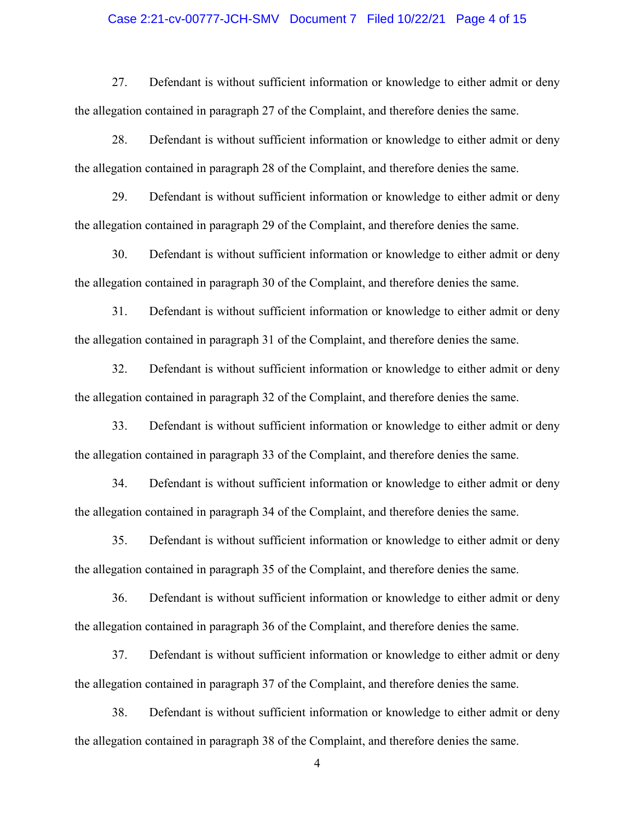### Case 2:21-cv-00777-JCH-SMV Document 7 Filed 10/22/21 Page 4 of 15

27. Defendant is without sufficient information or knowledge to either admit or deny the allegation contained in paragraph 27 of the Complaint, and therefore denies the same.

28. Defendant is without sufficient information or knowledge to either admit or deny the allegation contained in paragraph 28 of the Complaint, and therefore denies the same.

29. Defendant is without sufficient information or knowledge to either admit or deny the allegation contained in paragraph 29 of the Complaint, and therefore denies the same.

30. Defendant is without sufficient information or knowledge to either admit or deny the allegation contained in paragraph 30 of the Complaint, and therefore denies the same.

31. Defendant is without sufficient information or knowledge to either admit or deny the allegation contained in paragraph 31 of the Complaint, and therefore denies the same.

32. Defendant is without sufficient information or knowledge to either admit or deny the allegation contained in paragraph 32 of the Complaint, and therefore denies the same.

33. Defendant is without sufficient information or knowledge to either admit or deny the allegation contained in paragraph 33 of the Complaint, and therefore denies the same.

34. Defendant is without sufficient information or knowledge to either admit or deny the allegation contained in paragraph 34 of the Complaint, and therefore denies the same.

35. Defendant is without sufficient information or knowledge to either admit or deny the allegation contained in paragraph 35 of the Complaint, and therefore denies the same.

36. Defendant is without sufficient information or knowledge to either admit or deny the allegation contained in paragraph 36 of the Complaint, and therefore denies the same.

37. Defendant is without sufficient information or knowledge to either admit or deny the allegation contained in paragraph 37 of the Complaint, and therefore denies the same.

38. Defendant is without sufficient information or knowledge to either admit or deny the allegation contained in paragraph 38 of the Complaint, and therefore denies the same.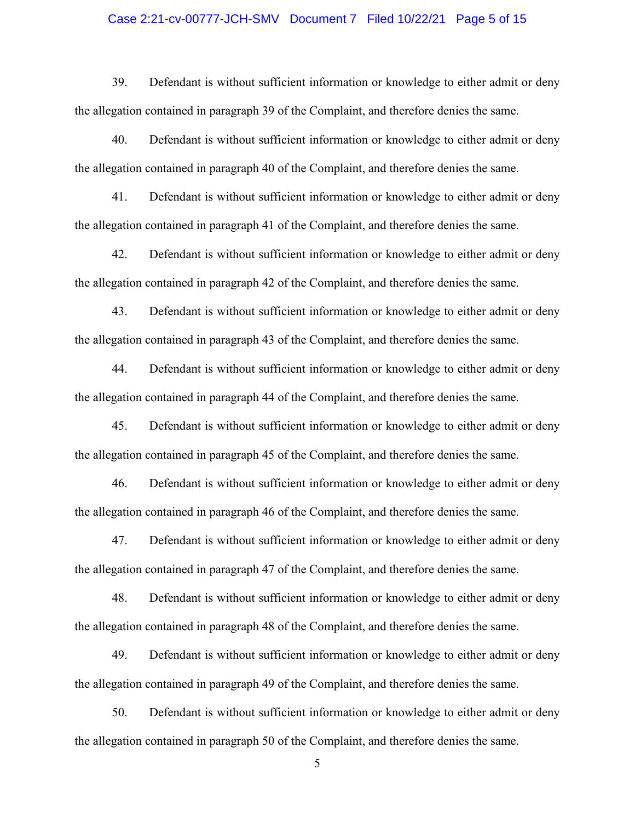### Case 2:21-cv-00777-JCH-SMV Document 7 Filed 10/22/21 Page 5 of 15

39. Defendant is without sufficient information or knowledge to either admit or deny the allegation contained in paragraph 39 of the Complaint, and therefore denies the same.

40. Defendant is without sufficient information or knowledge to either admit or deny the allegation contained in paragraph 40 of the Complaint, and therefore denies the same.

41. Defendant is without sufficient information or knowledge to either admit or deny the allegation contained in paragraph 41 of the Complaint, and therefore denies the same.

42. Defendant is without sufficient information or knowledge to either admit or deny the allegation contained in paragraph 42 of the Complaint, and therefore denies the same.

43. Defendant is without sufficient information or knowledge to either admit or deny the allegation contained in paragraph 43 of the Complaint, and therefore denies the same.

44. Defendant is without sufficient information or knowledge to either admit or deny the allegation contained in paragraph 44 of the Complaint, and therefore denies the same.

45. Defendant is without sufficient information or knowledge to either admit or deny the allegation contained in paragraph 45 of the Complaint, and therefore denies the same.

46. Defendant is without sufficient information or knowledge to either admit or deny the allegation contained in paragraph 46 of the Complaint, and therefore denies the same.

47. Defendant is without sufficient information or knowledge to either admit or deny the allegation contained in paragraph 47 of the Complaint, and therefore denies the same.

48. Defendant is without sufficient information or knowledge to either admit or deny the allegation contained in paragraph 48 of the Complaint, and therefore denies the same.

49. Defendant is without sufficient information or knowledge to either admit or deny the allegation contained in paragraph 49 of the Complaint, and therefore denies the same.

50. Defendant is without sufficient information or knowledge to either admit or deny the allegation contained in paragraph 50 of the Complaint, and therefore denies the same.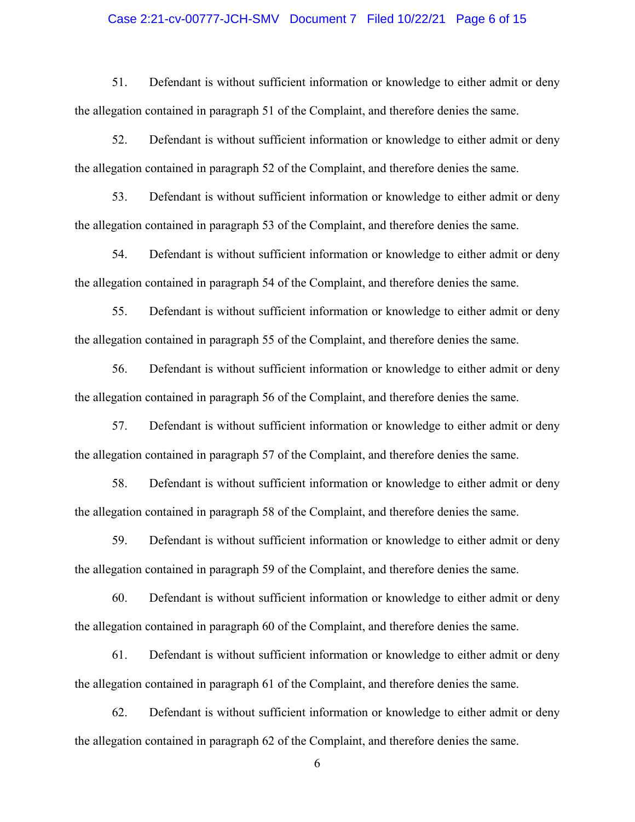### Case 2:21-cv-00777-JCH-SMV Document 7 Filed 10/22/21 Page 6 of 15

51. Defendant is without sufficient information or knowledge to either admit or deny the allegation contained in paragraph 51 of the Complaint, and therefore denies the same.

52. Defendant is without sufficient information or knowledge to either admit or deny the allegation contained in paragraph 52 of the Complaint, and therefore denies the same.

53. Defendant is without sufficient information or knowledge to either admit or deny the allegation contained in paragraph 53 of the Complaint, and therefore denies the same.

54. Defendant is without sufficient information or knowledge to either admit or deny the allegation contained in paragraph 54 of the Complaint, and therefore denies the same.

55. Defendant is without sufficient information or knowledge to either admit or deny the allegation contained in paragraph 55 of the Complaint, and therefore denies the same.

56. Defendant is without sufficient information or knowledge to either admit or deny the allegation contained in paragraph 56 of the Complaint, and therefore denies the same.

57. Defendant is without sufficient information or knowledge to either admit or deny the allegation contained in paragraph 57 of the Complaint, and therefore denies the same.

58. Defendant is without sufficient information or knowledge to either admit or deny the allegation contained in paragraph 58 of the Complaint, and therefore denies the same.

59. Defendant is without sufficient information or knowledge to either admit or deny the allegation contained in paragraph 59 of the Complaint, and therefore denies the same.

60. Defendant is without sufficient information or knowledge to either admit or deny the allegation contained in paragraph 60 of the Complaint, and therefore denies the same.

61. Defendant is without sufficient information or knowledge to either admit or deny the allegation contained in paragraph 61 of the Complaint, and therefore denies the same.

62. Defendant is without sufficient information or knowledge to either admit or deny the allegation contained in paragraph 62 of the Complaint, and therefore denies the same.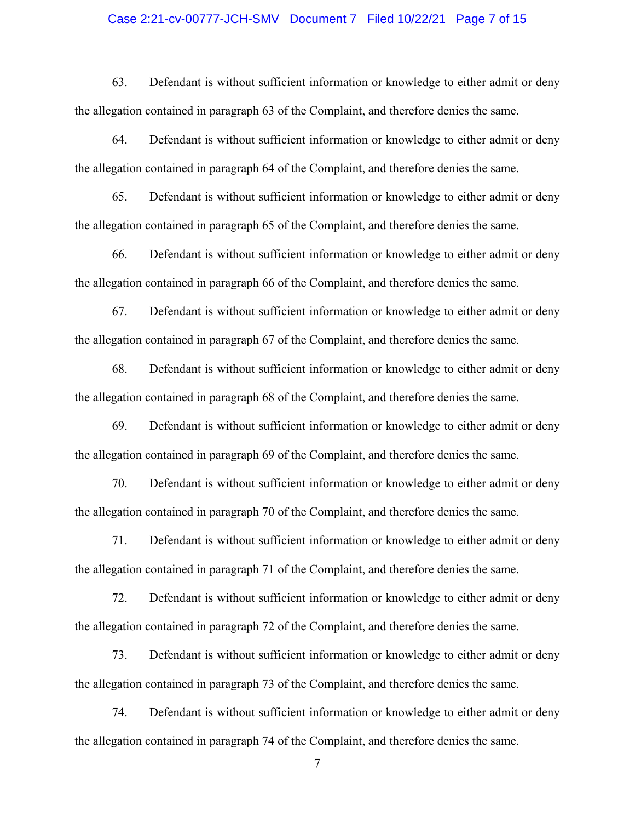### Case 2:21-cv-00777-JCH-SMV Document 7 Filed 10/22/21 Page 7 of 15

63. Defendant is without sufficient information or knowledge to either admit or deny the allegation contained in paragraph 63 of the Complaint, and therefore denies the same.

64. Defendant is without sufficient information or knowledge to either admit or deny the allegation contained in paragraph 64 of the Complaint, and therefore denies the same.

65. Defendant is without sufficient information or knowledge to either admit or deny the allegation contained in paragraph 65 of the Complaint, and therefore denies the same.

66. Defendant is without sufficient information or knowledge to either admit or deny the allegation contained in paragraph 66 of the Complaint, and therefore denies the same.

67. Defendant is without sufficient information or knowledge to either admit or deny the allegation contained in paragraph 67 of the Complaint, and therefore denies the same.

68. Defendant is without sufficient information or knowledge to either admit or deny the allegation contained in paragraph 68 of the Complaint, and therefore denies the same.

69. Defendant is without sufficient information or knowledge to either admit or deny the allegation contained in paragraph 69 of the Complaint, and therefore denies the same.

70. Defendant is without sufficient information or knowledge to either admit or deny the allegation contained in paragraph 70 of the Complaint, and therefore denies the same.

71. Defendant is without sufficient information or knowledge to either admit or deny the allegation contained in paragraph 71 of the Complaint, and therefore denies the same.

72. Defendant is without sufficient information or knowledge to either admit or deny the allegation contained in paragraph 72 of the Complaint, and therefore denies the same.

73. Defendant is without sufficient information or knowledge to either admit or deny the allegation contained in paragraph 73 of the Complaint, and therefore denies the same.

74. Defendant is without sufficient information or knowledge to either admit or deny the allegation contained in paragraph 74 of the Complaint, and therefore denies the same.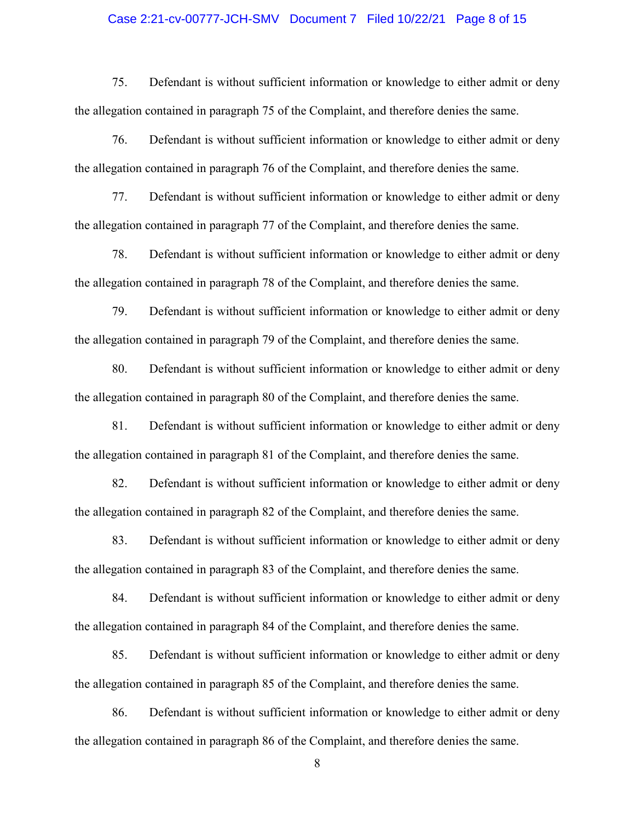### Case 2:21-cv-00777-JCH-SMV Document 7 Filed 10/22/21 Page 8 of 15

75. Defendant is without sufficient information or knowledge to either admit or deny the allegation contained in paragraph 75 of the Complaint, and therefore denies the same.

76. Defendant is without sufficient information or knowledge to either admit or deny the allegation contained in paragraph 76 of the Complaint, and therefore denies the same.

77. Defendant is without sufficient information or knowledge to either admit or deny the allegation contained in paragraph 77 of the Complaint, and therefore denies the same.

78. Defendant is without sufficient information or knowledge to either admit or deny the allegation contained in paragraph 78 of the Complaint, and therefore denies the same.

79. Defendant is without sufficient information or knowledge to either admit or deny the allegation contained in paragraph 79 of the Complaint, and therefore denies the same.

80. Defendant is without sufficient information or knowledge to either admit or deny the allegation contained in paragraph 80 of the Complaint, and therefore denies the same.

81. Defendant is without sufficient information or knowledge to either admit or deny the allegation contained in paragraph 81 of the Complaint, and therefore denies the same.

82. Defendant is without sufficient information or knowledge to either admit or deny the allegation contained in paragraph 82 of the Complaint, and therefore denies the same.

83. Defendant is without sufficient information or knowledge to either admit or deny the allegation contained in paragraph 83 of the Complaint, and therefore denies the same.

84. Defendant is without sufficient information or knowledge to either admit or deny the allegation contained in paragraph 84 of the Complaint, and therefore denies the same.

85. Defendant is without sufficient information or knowledge to either admit or deny the allegation contained in paragraph 85 of the Complaint, and therefore denies the same.

86. Defendant is without sufficient information or knowledge to either admit or deny the allegation contained in paragraph 86 of the Complaint, and therefore denies the same.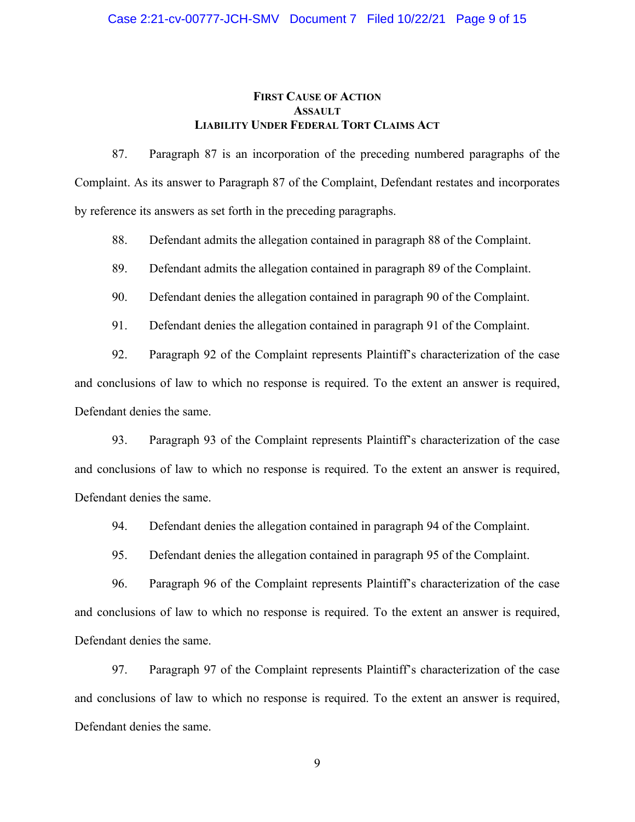### **FIRST CAUSE OF ACTION ASSAULT LIABILITY UNDER FEDERAL TORT CLAIMS ACT**

87. Paragraph 87 is an incorporation of the preceding numbered paragraphs of the Complaint. As its answer to Paragraph 87 of the Complaint, Defendant restates and incorporates by reference its answers as set forth in the preceding paragraphs.

88. Defendant admits the allegation contained in paragraph 88 of the Complaint.

89. Defendant admits the allegation contained in paragraph 89 of the Complaint.

90. Defendant denies the allegation contained in paragraph 90 of the Complaint.

91. Defendant denies the allegation contained in paragraph 91 of the Complaint.

92. Paragraph 92 of the Complaint represents Plaintiff's characterization of the case and conclusions of law to which no response is required. To the extent an answer is required, Defendant denies the same.

93. Paragraph 93 of the Complaint represents Plaintiff's characterization of the case and conclusions of law to which no response is required. To the extent an answer is required, Defendant denies the same.

94. Defendant denies the allegation contained in paragraph 94 of the Complaint.

95. Defendant denies the allegation contained in paragraph 95 of the Complaint.

96. Paragraph 96 of the Complaint represents Plaintiff's characterization of the case and conclusions of law to which no response is required. To the extent an answer is required, Defendant denies the same.

97. Paragraph 97 of the Complaint represents Plaintiff's characterization of the case and conclusions of law to which no response is required. To the extent an answer is required, Defendant denies the same.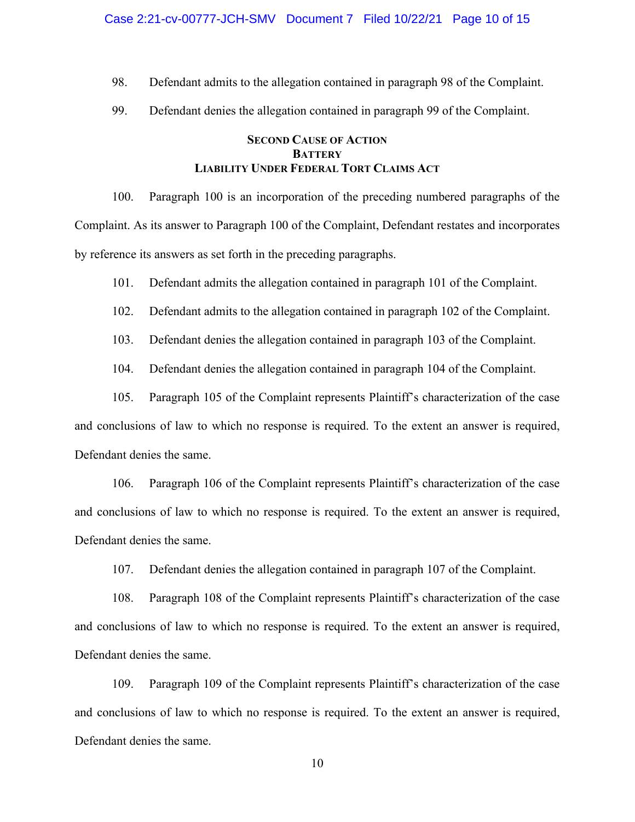98. Defendant admits to the allegation contained in paragraph 98 of the Complaint.

99. Defendant denies the allegation contained in paragraph 99 of the Complaint.

# **SECOND CAUSE OF ACTION BATTERY LIABILITY UNDER FEDERAL TORT CLAIMS ACT**

100. Paragraph 100 is an incorporation of the preceding numbered paragraphs of the Complaint. As its answer to Paragraph 100 of the Complaint, Defendant restates and incorporates by reference its answers as set forth in the preceding paragraphs.

101. Defendant admits the allegation contained in paragraph 101 of the Complaint.

102. Defendant admits to the allegation contained in paragraph 102 of the Complaint.

103. Defendant denies the allegation contained in paragraph 103 of the Complaint.

104. Defendant denies the allegation contained in paragraph 104 of the Complaint.

105. Paragraph 105 of the Complaint represents Plaintiff's characterization of the case and conclusions of law to which no response is required. To the extent an answer is required, Defendant denies the same.

106. Paragraph 106 of the Complaint represents Plaintiff's characterization of the case and conclusions of law to which no response is required. To the extent an answer is required, Defendant denies the same.

107. Defendant denies the allegation contained in paragraph 107 of the Complaint.

108. Paragraph 108 of the Complaint represents Plaintiff's characterization of the case and conclusions of law to which no response is required. To the extent an answer is required, Defendant denies the same.

109. Paragraph 109 of the Complaint represents Plaintiff's characterization of the case and conclusions of law to which no response is required. To the extent an answer is required, Defendant denies the same.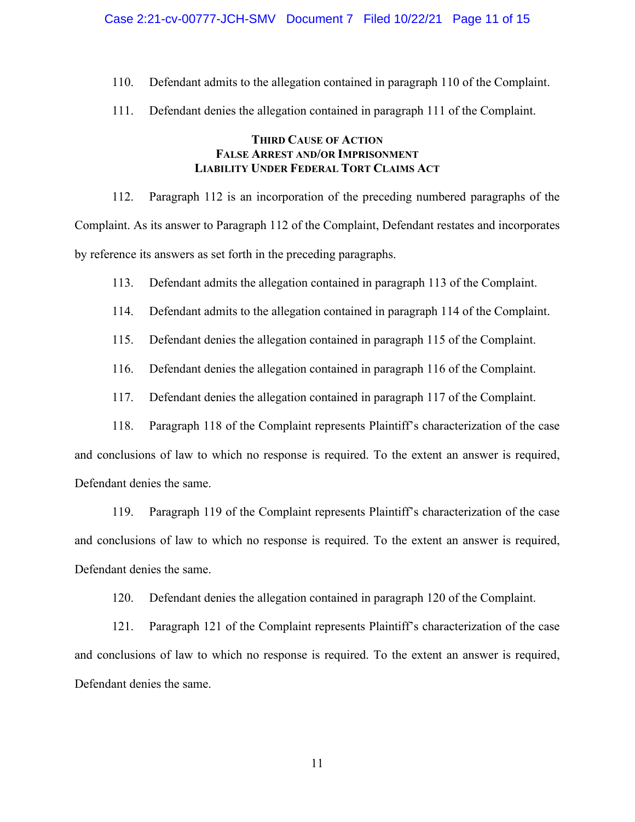110. Defendant admits to the allegation contained in paragraph 110 of the Complaint.

111. Defendant denies the allegation contained in paragraph 111 of the Complaint.

# **THIRD CAUSE OF ACTION FALSE ARREST AND/OR IMPRISONMENT LIABILITY UNDER FEDERAL TORT CLAIMS ACT**

112. Paragraph 112 is an incorporation of the preceding numbered paragraphs of the Complaint. As its answer to Paragraph 112 of the Complaint, Defendant restates and incorporates by reference its answers as set forth in the preceding paragraphs.

113. Defendant admits the allegation contained in paragraph 113 of the Complaint.

114. Defendant admits to the allegation contained in paragraph 114 of the Complaint.

115. Defendant denies the allegation contained in paragraph 115 of the Complaint.

116. Defendant denies the allegation contained in paragraph 116 of the Complaint.

117. Defendant denies the allegation contained in paragraph 117 of the Complaint.

118. Paragraph 118 of the Complaint represents Plaintiff's characterization of the case

and conclusions of law to which no response is required. To the extent an answer is required, Defendant denies the same.

119. Paragraph 119 of the Complaint represents Plaintiff's characterization of the case and conclusions of law to which no response is required. To the extent an answer is required, Defendant denies the same.

120. Defendant denies the allegation contained in paragraph 120 of the Complaint.

121. Paragraph 121 of the Complaint represents Plaintiff's characterization of the case and conclusions of law to which no response is required. To the extent an answer is required, Defendant denies the same.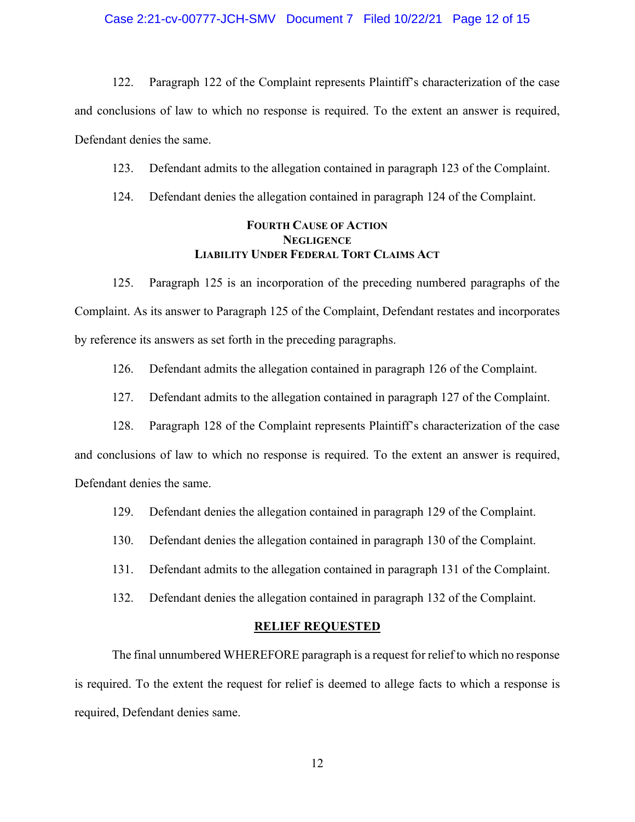122. Paragraph 122 of the Complaint represents Plaintiff's characterization of the case and conclusions of law to which no response is required. To the extent an answer is required, Defendant denies the same.

123. Defendant admits to the allegation contained in paragraph 123 of the Complaint.

124. Defendant denies the allegation contained in paragraph 124 of the Complaint.

# **FOURTH CAUSE OF ACTION NEGLIGENCE LIABILITY UNDER FEDERAL TORT CLAIMS ACT**

125. Paragraph 125 is an incorporation of the preceding numbered paragraphs of the Complaint. As its answer to Paragraph 125 of the Complaint, Defendant restates and incorporates by reference its answers as set forth in the preceding paragraphs.

126. Defendant admits the allegation contained in paragraph 126 of the Complaint.

127. Defendant admits to the allegation contained in paragraph 127 of the Complaint.

128. Paragraph 128 of the Complaint represents Plaintiff's characterization of the case

and conclusions of law to which no response is required. To the extent an answer is required, Defendant denies the same.

129. Defendant denies the allegation contained in paragraph 129 of the Complaint.

- 130. Defendant denies the allegation contained in paragraph 130 of the Complaint.
- 131. Defendant admits to the allegation contained in paragraph 131 of the Complaint.
- 132. Defendant denies the allegation contained in paragraph 132 of the Complaint.

#### **RELIEF REQUESTED**

The final unnumbered WHEREFORE paragraph is a request for relief to which no response is required. To the extent the request for relief is deemed to allege facts to which a response is required, Defendant denies same.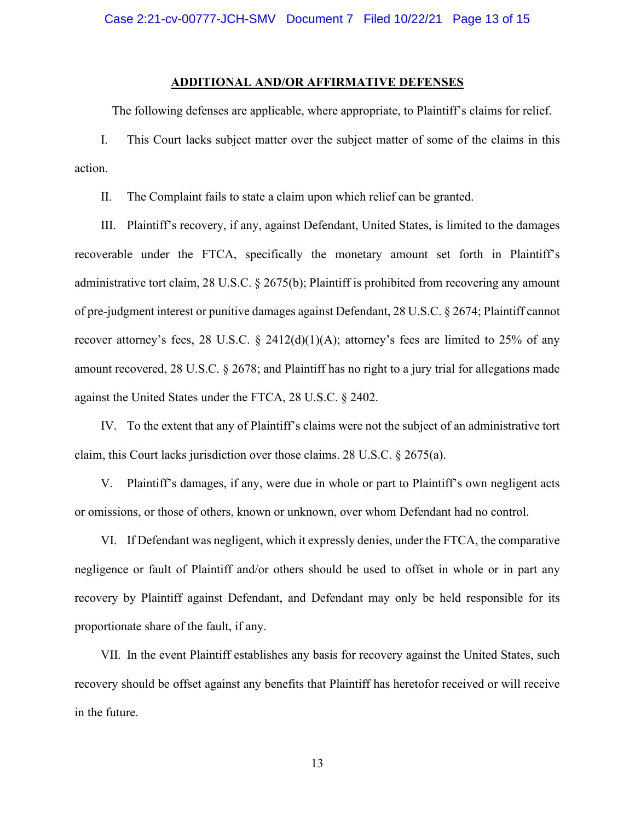#### **ADDITIONAL AND/OR AFFIRMATIVE DEFENSES**

The following defenses are applicable, where appropriate, to Plaintiff's claims for relief.

I. This Court lacks subject matter over the subject matter of some of the claims in this action.

II. The Complaint fails to state a claim upon which relief can be granted.

III. Plaintiff's recovery, if any, against Defendant, United States, is limited to the damages recoverable under the FTCA, specifically the monetary amount set forth in Plaintiff's administrative tort claim, 28 U.S.C. § 2675(b); Plaintiff is prohibited from recovering any amount of pre-judgment interest or punitive damages against Defendant, 28 U.S.C. § 2674; Plaintiff cannot recover attorney's fees, 28 U.S.C. § 2412(d)(1)(A); attorney's fees are limited to 25% of any amount recovered, 28 U.S.C. § 2678; and Plaintiff has no right to a jury trial for allegations made against the United States under the FTCA, 28 U.S.C. § 2402.

IV. To the extent that any of Plaintiff's claims were not the subject of an administrative tort claim, this Court lacks jurisdiction over those claims. 28 U.S.C. § 2675(a).

V. Plaintiff's damages, if any, were due in whole or part to Plaintiff's own negligent acts or omissions, or those of others, known or unknown, over whom Defendant had no control.

VI. If Defendant was negligent, which it expressly denies, under the FTCA, the comparative negligence or fault of Plaintiff and/or others should be used to offset in whole or in part any recovery by Plaintiff against Defendant, and Defendant may only be held responsible for its proportionate share of the fault, if any.

VII. In the event Plaintiff establishes any basis for recovery against the United States, such recovery should be offset against any benefits that Plaintiff has heretofor received or will receive in the future.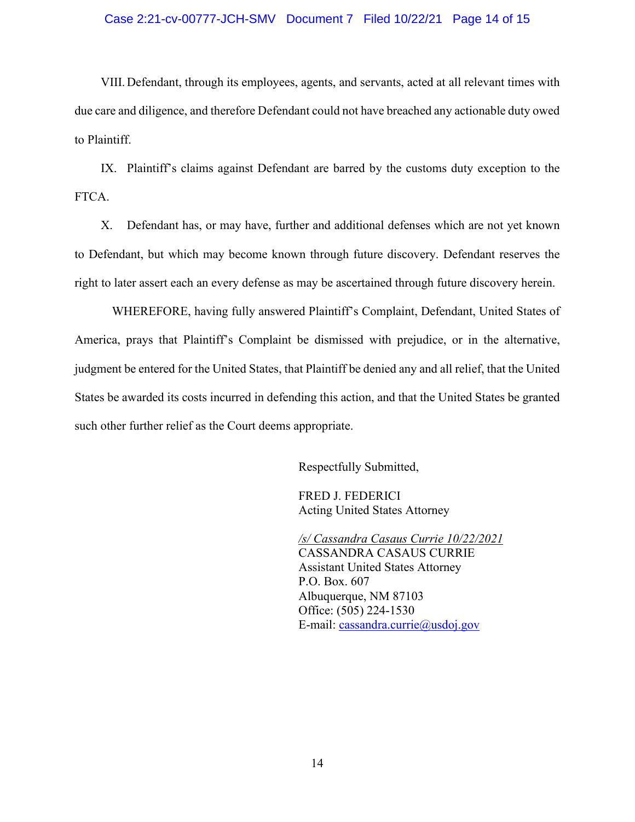### Case 2:21-cv-00777-JCH-SMV Document 7 Filed 10/22/21 Page 14 of 15

VIII.Defendant, through its employees, agents, and servants, acted at all relevant times with due care and diligence, and therefore Defendant could not have breached any actionable duty owed to Plaintiff.

IX. Plaintiff's claims against Defendant are barred by the customs duty exception to the FTCA.

X. Defendant has, or may have, further and additional defenses which are not yet known to Defendant, but which may become known through future discovery. Defendant reserves the right to later assert each an every defense as may be ascertained through future discovery herein.

WHEREFORE, having fully answered Plaintiff's Complaint, Defendant, United States of America, prays that Plaintiff's Complaint be dismissed with prejudice, or in the alternative, judgment be entered for the United States, that Plaintiff be denied any and all relief, that the United States be awarded its costs incurred in defending this action, and that the United States be granted such other further relief as the Court deems appropriate.

Respectfully Submitted,

FRED J. FEDERICI Acting United States Attorney

*/s/ Cassandra Casaus Currie 10/22/2021* CASSANDRA CASAUS CURRIE Assistant United States Attorney P.O. Box. 607 Albuquerque, NM 87103 Office: (505) 224-1530 E-mail: [cassandra.currie@usdoj.gov](mailto:cassandra.currie@usdoj.gov)